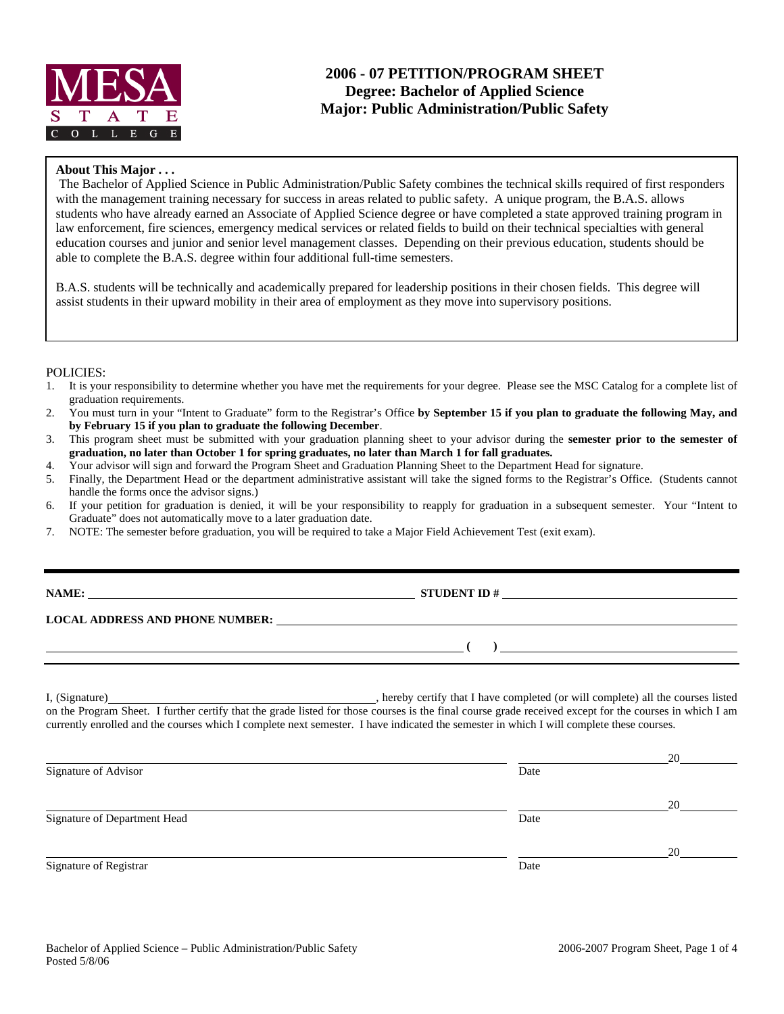

# **2006 - 07 PETITION/PROGRAM SHEET Degree: Bachelor of Applied Science Major: Public Administration/Public Safety**

### **About This Major . . .**

The Bachelor of Applied Science in Public Administration/Public Safety combines the technical skills required of first responders with the management training necessary for success in areas related to public safety. A unique program, the B.A.S. allows students who have already earned an Associate of Applied Science degree or have completed a state approved training program in law enforcement, fire sciences, emergency medical services or related fields to build on their technical specialties with general education courses and junior and senior level management classes. Depending on their previous education, students should be able to complete the B.A.S. degree within four additional full-time semesters.

B.A.S. students will be technically and academically prepared for leadership positions in their chosen fields. This degree will assist students in their upward mobility in their area of employment as they move into supervisory positions.

#### POLICIES:

- 1. It is your responsibility to determine whether you have met the requirements for your degree. Please see the MSC Catalog for a complete list of graduation requirements.
- 2. You must turn in your "Intent to Graduate" form to the Registrar's Office **by September 15 if you plan to graduate the following May, and by February 15 if you plan to graduate the following December**.
- 3. This program sheet must be submitted with your graduation planning sheet to your advisor during the **semester prior to the semester of graduation, no later than October 1 for spring graduates, no later than March 1 for fall graduates.**
- 4. Your advisor will sign and forward the Program Sheet and Graduation Planning Sheet to the Department Head for signature.
- 5. Finally, the Department Head or the department administrative assistant will take the signed forms to the Registrar's Office. (Students cannot handle the forms once the advisor signs.)
- 6. If your petition for graduation is denied, it will be your responsibility to reapply for graduation in a subsequent semester. Your "Intent to Graduate" does not automatically move to a later graduation date.
- 7. NOTE: The semester before graduation, you will be required to take a Major Field Achievement Test (exit exam).

| NAME:                                  | <b>STUDENT ID#</b> |  |
|----------------------------------------|--------------------|--|
| <b>LOCAL ADDRESS AND PHONE NUMBER:</b> |                    |  |
|                                        |                    |  |
|                                        |                    |  |

I, (Signature) , hereby certify that I have completed (or will complete) all the courses listed on the Program Sheet. I further certify that the grade listed for those courses is the final course grade received except for the courses in which I am currently enrolled and the courses which I complete next semester. I have indicated the semester in which I will complete these courses.

|                              |      | 20 |
|------------------------------|------|----|
| Signature of Advisor         | Date |    |
|                              |      | 20 |
| Signature of Department Head | Date |    |
|                              |      | 20 |
| Signature of Registrar       | Date |    |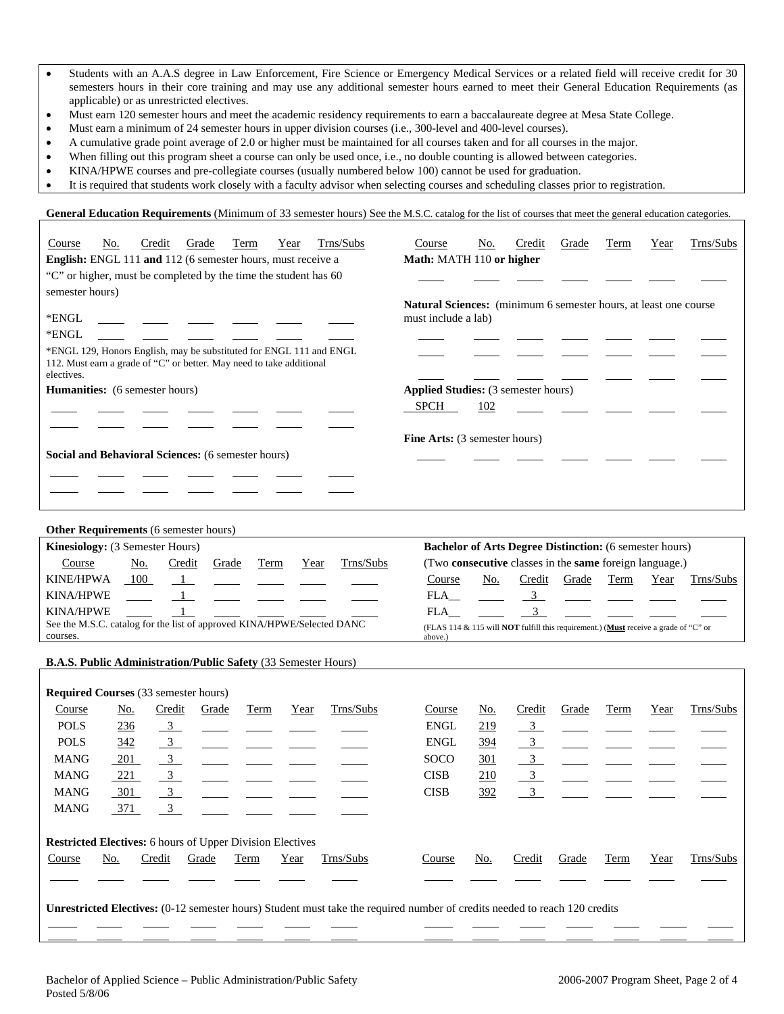- Students with an A.A.S degree in Law Enforcement, Fire Science or Emergency Medical Services or a related field will receive credit for 30 semesters hours in their core training and may use any additional semester hours earned to meet their General Education Requirements (as applicable) or as unrestricted electives.
- Must earn 120 semester hours and meet the academic residency requirements to earn a baccalaureate degree at Mesa State College.
- Must earn a minimum of 24 semester hours in upper division courses (i.e., 300-level and 400-level courses).
- A cumulative grade point average of 2.0 or higher must be maintained for all courses taken and for all courses in the major.
- When filling out this program sheet a course can only be used once, i.e., no double counting is allowed between categories.
- KINA/HPWE courses and pre-collegiate courses (usually numbered below 100) cannot be used for graduation.
- It is required that students work closely with a faculty advisor when selecting courses and scheduling classes prior to registration.

**General Education Requirements** (Minimum of 33 semester hours) See the M.S.C. catalog for the list of courses that meet the general education categories.

| Trns/Subs<br>Credit<br>Grade<br>Term<br>Year<br>No.<br>Course<br>English: ENGL 111 and 112 (6 semester hours, must receive a<br>"C" or higher, must be completed by the time the student has 60<br>semester hours)<br>*ENGL<br>*ENGL<br>*ENGL 129, Honors English, may be substituted for ENGL 111 and ENGL<br>112. Must earn a grade of "C" or better. May need to take additional<br>electives. | Trns/Subs<br>Credit<br>Grade<br>Term<br>Year<br>Course<br>No.<br>Math: MATH 110 or higher<br><b>Natural Sciences:</b> (minimum 6 semester hours, at least one course)<br>must include a lab) |
|---------------------------------------------------------------------------------------------------------------------------------------------------------------------------------------------------------------------------------------------------------------------------------------------------------------------------------------------------------------------------------------------------|----------------------------------------------------------------------------------------------------------------------------------------------------------------------------------------------|
| <b>Humanities:</b> (6 semester hours)                                                                                                                                                                                                                                                                                                                                                             | <b>Applied Studies:</b> (3 semester hours)                                                                                                                                                   |
|                                                                                                                                                                                                                                                                                                                                                                                                   | <b>SPCH</b><br>102                                                                                                                                                                           |
|                                                                                                                                                                                                                                                                                                                                                                                                   |                                                                                                                                                                                              |
| Social and Behavioral Sciences: (6 semester hours)                                                                                                                                                                                                                                                                                                                                                | <b>Fine Arts:</b> (3 semester hours)                                                                                                                                                         |
| Other Requirements (6 semester hours)                                                                                                                                                                                                                                                                                                                                                             |                                                                                                                                                                                              |
| Kinesiology: (3 Semester Hours)                                                                                                                                                                                                                                                                                                                                                                   | <b>Bachelor of Arts Degree Distinction:</b> (6 semester hours)                                                                                                                               |
| Trns/Subs<br>No.<br>Credit<br>Grade<br>Course<br>Term<br>Year                                                                                                                                                                                                                                                                                                                                     | (Two consecutive classes in the same foreign language.)                                                                                                                                      |
| <b>KINE/HPWA</b><br>100<br>$\overline{1}$                                                                                                                                                                                                                                                                                                                                                         | Trns/Subs<br>Course<br>No.<br>Credit<br>Grade<br>Term<br>Year                                                                                                                                |
| <b>KINA/HPWE</b><br>$\mathbf{1}$                                                                                                                                                                                                                                                                                                                                                                  | $\overline{\mathbf{3}}$<br>FLA                                                                                                                                                               |
| <b>KINA/HPWE</b>                                                                                                                                                                                                                                                                                                                                                                                  | <b>FLA</b><br>3                                                                                                                                                                              |
| See the M.S.C. catalog for the list of approved KINA/HPWE/Selected DANC                                                                                                                                                                                                                                                                                                                           | (FLAS 114 & 115 will <b>NOT</b> fulfill this requirement.) (Must receive a grade of "C" or                                                                                                   |
| courses.                                                                                                                                                                                                                                                                                                                                                                                          | above.)                                                                                                                                                                                      |
| B.A.S. Public Administration/Public Safety (33 Semester Hours)                                                                                                                                                                                                                                                                                                                                    |                                                                                                                                                                                              |
| Required Courses (33 semester hours)                                                                                                                                                                                                                                                                                                                                                              |                                                                                                                                                                                              |
| Trns/Subs<br>Credit<br>Grade<br>Course<br>No.<br>Term<br>Year                                                                                                                                                                                                                                                                                                                                     | Trns/Subs<br>Credit<br>Grade<br>Course<br>Term<br>Year<br>No.                                                                                                                                |
| <b>POLS</b><br>3<br>236                                                                                                                                                                                                                                                                                                                                                                           | <b>ENGL</b><br>3<br>219                                                                                                                                                                      |

POLS 342 3 \_\_\_\_ \_\_\_ \_\_\_ \_\_\_ BNGL 394 3 MANG 201 3 SOCO 301 3 MANG 221 3 \_\_\_\_ \_\_\_ \_\_\_ \_\_\_ CISB 210 3 MANG <u>301 3</u> \_\_\_\_\_ \_\_\_\_\_ \_\_\_\_\_ CISB 392 \_\_\_ 3

**Restricted Electives:** 6 hours of Upper Division Electives

MANG 371 3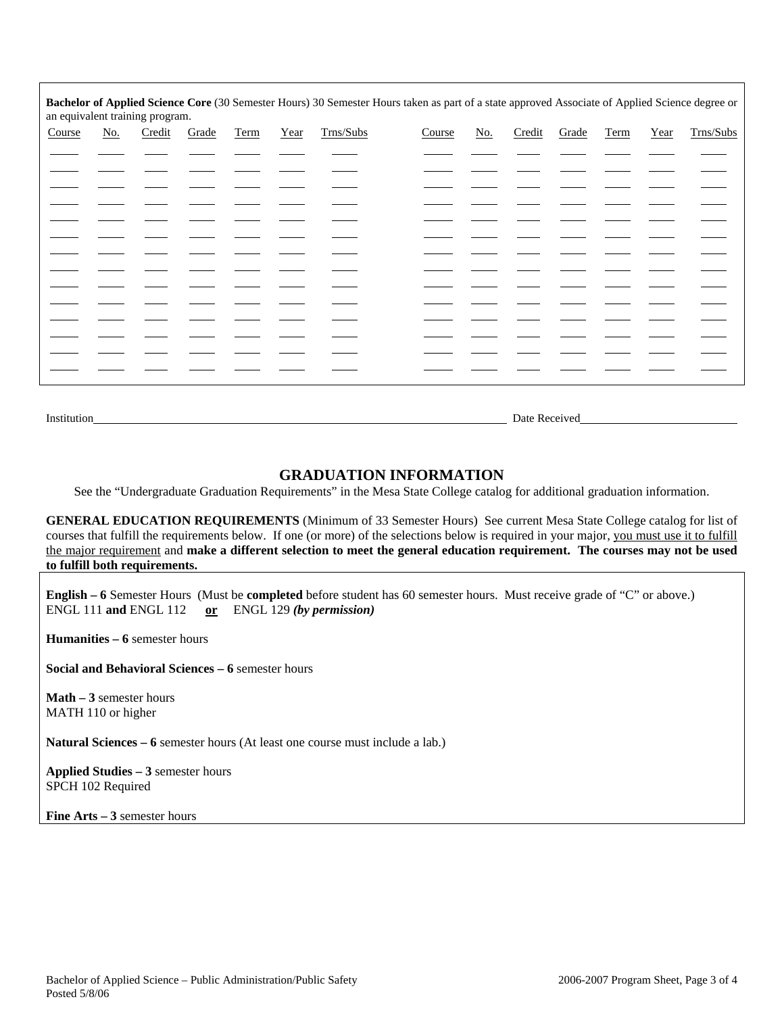| Bachelor of Applied Science Core (30 Semester Hours) 30 Semester Hours taken as part of a state approved Associate of Applied Science degree or<br>an equivalent training program. |                             |        |       |      |      |           |        |            |        |       |      |      |           |
|------------------------------------------------------------------------------------------------------------------------------------------------------------------------------------|-----------------------------|--------|-------|------|------|-----------|--------|------------|--------|-------|------|------|-----------|
| Course                                                                                                                                                                             | $\underline{\mathrm{No}}$ . | Credit | Grade | Term | Year | Trns/Subs | Course | <u>No.</u> | Credit | Grade | Term | Year | Trns/Subs |
|                                                                                                                                                                                    |                             |        |       |      |      |           |        |            |        |       |      |      |           |
|                                                                                                                                                                                    |                             |        |       |      |      |           |        |            |        |       |      |      |           |
|                                                                                                                                                                                    |                             |        |       |      |      |           |        |            |        |       |      |      |           |
|                                                                                                                                                                                    |                             |        |       |      |      |           |        |            |        |       |      |      |           |
|                                                                                                                                                                                    |                             |        |       |      |      |           |        |            |        |       |      |      |           |
|                                                                                                                                                                                    |                             |        |       |      |      |           |        |            |        |       |      |      |           |
|                                                                                                                                                                                    |                             |        |       |      |      |           |        |            |        |       |      |      |           |
|                                                                                                                                                                                    |                             |        |       |      |      |           |        |            |        |       |      |      |           |
|                                                                                                                                                                                    |                             |        |       |      |      |           |        |            |        |       |      |      |           |
|                                                                                                                                                                                    |                             |        |       |      |      |           |        |            |        |       |      |      |           |
|                                                                                                                                                                                    |                             |        |       |      |      |           |        |            |        |       |      |      |           |
|                                                                                                                                                                                    |                             |        |       |      |      |           |        |            |        |       |      |      |           |
|                                                                                                                                                                                    |                             |        |       |      |      |           |        |            |        |       |      |      |           |
|                                                                                                                                                                                    |                             |        |       |      |      |           |        |            |        |       |      |      |           |
|                                                                                                                                                                                    |                             |        |       |      |      |           |        |            |        |       |      |      |           |

Institution Date Received Date Received

## **GRADUATION INFORMATION**

See the "Undergraduate Graduation Requirements" in the Mesa State College catalog for additional graduation information.

**GENERAL EDUCATION REQUIREMENTS** (Minimum of 33 Semester Hours) See current Mesa State College catalog for list of courses that fulfill the requirements below. If one (or more) of the selections below is required in your major, you must use it to fulfill the major requirement and **make a different selection to meet the general education requirement. The courses may not be used to fulfill both requirements.**

**English – 6** Semester Hours (Must be **completed** before student has 60 semester hours. Must receive grade of "C" or above.) ENGL 111 **and** ENGL 112 **or** ENGL 129 *(by permission)*

**Humanities – 6** semester hours

**Social and Behavioral Sciences – 6** semester hours

**Math – 3** semester hours MATH 110 or higher

**Natural Sciences – 6** semester hours (At least one course must include a lab.)

**Applied Studies – 3** semester hours SPCH 102 Required

**Fine Arts – 3** semester hours